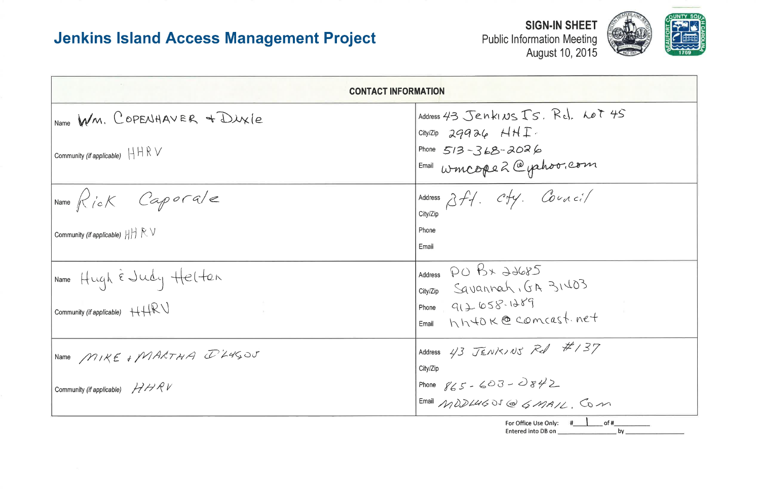| <b>CONTACT INFORMATION</b>                                           |                                                                |
|----------------------------------------------------------------------|----------------------------------------------------------------|
| Name WM. COPENHAVER + DUXIE                                          | Address 43 Jenkins Is. R<br>City/Zip $29926$ HHI.              |
| Community (if applicable) $H R V$                                    | Phone $513 - 368 - 2026$<br>$E_{\text{mail}}$ wincope 2 @ phoo |
| $\begin{vmatrix} Name & R & i & Cap & \end{vmatrix}$                 | Address $2f$ . C $f$ y. Cou<br>City/Zip                        |
| Community (if applicable) $   \cdot    \cdot    \cdot    \cdot \vee$ | Phone<br>Email                                                 |
| IName Hugh & Judy Helten                                             | PO BX 22685<br>Address<br>city/Zip Savannah, GA 31             |
| Community (if applicable) $H H W$                                    | Phone $912658.1289$<br>hhtok@comcas<br>Email                   |
| Name MIKE & MARTHA I LUGOU                                           | Address $43$ JENKINS Red<br>City/Zip                           |
| HHRV<br>Community (if applicable)                                    | Phone $865 - 603 - 0842$<br>Email MODLUG OS @ GMAI             |

For Office Use Only: Entered into DB on



v.com

$$
v_{\mathcal{A}} c_i^s /
$$

$$
\mathcal{E}\text{OL}_I
$$

$$
\overline{\#/37}
$$

$$
\frac{2}{\frac{1}{\sqrt{2}} \cdot \frac{1}{\sqrt{2}} \cdot \frac{1}{\sqrt{2}}}
$$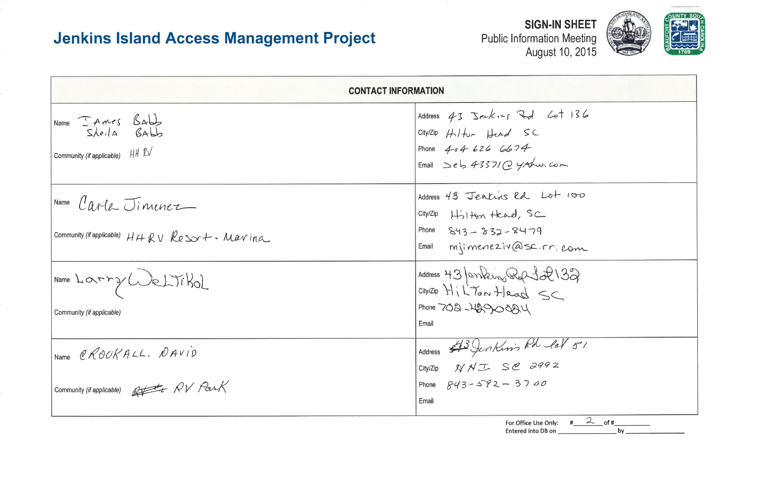Public Information Meeting<br>August 10, 2015

| <b>CONTACT INFORMATION</b>                                                             |                                                                                                                                                           |  |  |  |  |  |
|----------------------------------------------------------------------------------------|-----------------------------------------------------------------------------------------------------------------------------------------------------------|--|--|--|--|--|
| Name <i>SAMES</i> Babb<br>Sheila Babb<br>Community (if applicable) HH $2V$             | Address 43 Jenkins Rd Lot 136<br>City/Zip $H$ <i>i</i> $_{\sim}$ $H$<br>Phone $4046266074$<br>Email $\begin{array}{c} 2e & 4337/2 \\ 4x & 2x \end{array}$ |  |  |  |  |  |
| Name Carle Jimenez<br>community (if applicable) $H H R V R e S S T + \cdot M a v in a$ | Address 43 Jenkins Rd Lot 100<br>$City/Zip$ $H\rightarrow H\rightarrow W$<br>Phone $843 - 832 - 8479$<br>Email mimeneziv@sc.rr.com                        |  |  |  |  |  |
| Name Larry Weltikol<br>Community (if applicable)                                       | Address 43 Janking Roft 2 133<br>Phone 702-129008A4<br>Email                                                                                              |  |  |  |  |  |
| Name CROOKALL, DAVID<br>Community (if applicable) But AV Park                          | Address \$13 Jenkins Rd lat 51<br>City/Zip $\cancel{N}$ N T S @ 2992<br>Phone $843 - 572 - 3700$<br>Email                                                 |  |  |  |  |  |
|                                                                                        | For Office Use Only: $\#$ 2 of #<br>bv.<br>Entered into DB on                                                                                             |  |  |  |  |  |

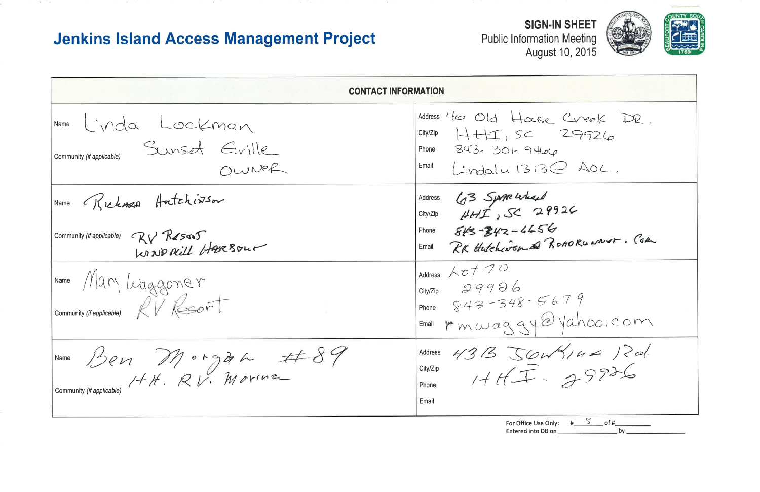The company

**Public Information Meeting** 

| <b>CONTACT INFORMATION</b>                                                           |                                                                                                                                                               |
|--------------------------------------------------------------------------------------|---------------------------------------------------------------------------------------------------------------------------------------------------------------|
| Name Linda Lockman<br>Sunset Grille<br>Community (if applicable)<br>OWNER            | Address 40 Old House<br>$City/Zip$ $\rightarrow \leftarrow \leftarrow$ $SC$<br>Phone $343 - 301 - 9466$<br>$Email$ $\int \cdot v \cdot d\alpha l \cdot 1313C$ |
| Name Rickman Hatchiston<br>Community (if applicable) $Q\vee R$<br>KINDACILL HAVEBOUT | Address 43 Spape Lechard<br>Phone $843 - 342 - 4456$<br>Email RK Hutchcarson & Ro                                                                             |
| IName Mary Waggoner<br>Community (if applicable) $RV$ Resort                         | Address $60720$<br>City/Zip $29996$<br>Phone $843 - 348 - 56$<br>$F$ mail $m$ we wag gy $\odot$                                                               |
| Ben Morgan #89<br>Name<br>Community (if applicable)                                  | Address 43B JOU<br>HHT<br>City/Zip<br>Phone<br>Email                                                                                                          |

Entered into DB on



Creek DR.  $2AC.$  $2C$ OAORUNNAT. COM  $79$  $\frac{1}{8}$ <br> $\frac{1}{2}$ <br> $\frac{1}{2}$ <br> $\frac{1}{2}$ <br> $\frac{1}{2}$ <br> $\frac{1}{2}$ <br> $\frac{1}{2}$ <br> $\frac{1}{2}$ <br> $\frac{1}{2}$ 

For Office Use Only:  $\frac{\# \sqrt{2}}{\# \sqrt{2}}$  of  $\frac{\# \sqrt{2}}{\# \sqrt{2}}$  $\overline{b}$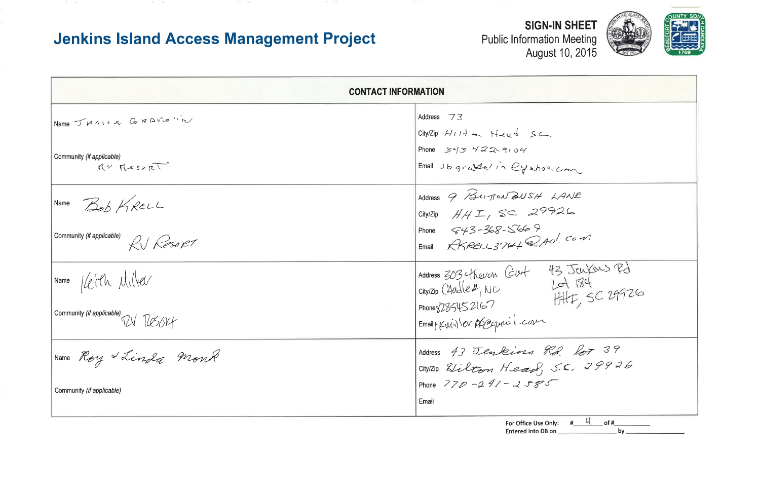the control of the

and the same

Georgia Constitution

| <b>CONTACT INFORMATION</b>                   |                                                                                                    |
|----------------------------------------------|----------------------------------------------------------------------------------------------------|
| Name JAMILL GRAVE "in                        | Address 73<br>$City/Zip$ $H117$ on $H24$ $S2$                                                      |
| Community (if applicable)<br>$RV$ Resort     | Phone $343$ $422$ $9104$<br>Email Jbgrather in Cynhodic                                            |
| Name Bob KRELL                               | Address 9 Burton BUSH 4<br>City/Zip $H/H$ $I$ , $SC$ $2992$                                        |
| Community (if applicable)<br>RI Resort       | Phone $643 - 368 - 5669$<br>Email RKRELL 3764 2AU.                                                 |
| Name / Leith Milter                          | Address $303$ theven Cut 43<br>city/zip C4udle $\nu$ , NC<br>product 2167<br>city/Zip C4udle 2, NC |
| Community (if applicable) $\n  2 \sqrt{250}$ | Phone $285452167$<br>Email p (Euril) les présequents l'eau                                         |
| Roy Linda Monk<br>Name                       | Address 43 Jenkins Rd.<br>CitylZip Elilton Head, S.                                                |
| Community (if applicable)                    | Phone $77D - 291 - 2585$<br>Email                                                                  |

THE STATE OF

For Office Use Only: Entered into DB on



| $\overline{\phantom{a}}$                |
|-----------------------------------------|
|                                         |
| ANE                                     |
| 26                                      |
| $\int$ Com                              |
|                                         |
| 3 JEWYOUS Rd                            |
| ot 184<br>$H+$ , SC 29926               |
|                                         |
|                                         |
| 2739<br>$\begin{matrix} 2 \end{matrix}$ |
| 29926<br>$\subset$                      |
|                                         |
|                                         |
| $4$ of #<br>#<br>$by_+$                 |
|                                         |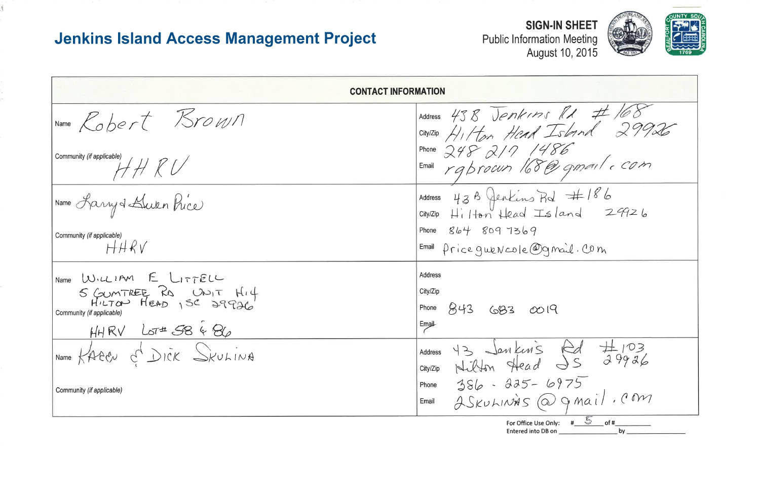**Public Information Meeting** 

|                                                                                                                                       | <b>CONTACT INFORMATION</b>                                                                             |
|---------------------------------------------------------------------------------------------------------------------------------------|--------------------------------------------------------------------------------------------------------|
| IName Robert Brown                                                                                                                    | Address 43 B Jenkins<br>citylZip HI Hon Head Is                                                        |
| Community (if applicable)<br>H H K V                                                                                                  | Phone $248$ $217$ $148$<br>Email raprocun 168@                                                         |
| Name Rarry & Bluken Price                                                                                                             | Address $43B$ fenkins $Rd$<br>City/Zip Hilton Head Isle                                                |
| Community (if applicable)<br>HHRV                                                                                                     | Phone $8b4$ 809 7369<br>$F_{\text{mail}}$ price queNcole@gm                                            |
| Name WILLIAM E LITTELL<br>S GUMTREE RO UNIT HI4<br>HILTON HEAD 1SC 29926<br>Community (if applicable)<br>$HHRV$ LOT $\overline{S}868$ | <b>Address</b><br>City/Zip<br>843<br>Phone<br>683<br>0019<br>Email                                     |
| Name KAECN C DICK SKULINA<br>Community (if applicable)                                                                                | 43 Jenkins<br>Address<br>Nilton Head =<br>386 - 225 - 69<br>City/Zip<br>Phone<br>2 SKULINAS @<br>Email |



 $\frac{11}{56}$  # 168<br> $\frac{1}{56}$ <br> $\frac{1}{16}$ <br> $\frac{1}{16}$ <br> $\frac{1}{16}$ <br> $\frac{1}{16}$ <br> $\frac{1}{16}$ <br> $\frac{1}{16}$ <br> $\frac{1}{16}$ <br> $\frac{1}{16}$ <br> $\frac{1}{16}$ and  $29926$ ail. Com  $Rd$   $\#103$ <br> $39926$  $975$ <br>gmail.com For Office Use Only:  $\frac{4}{100}$  of  $\frac{4}{100}$  of  $\frac{4}{100}$  by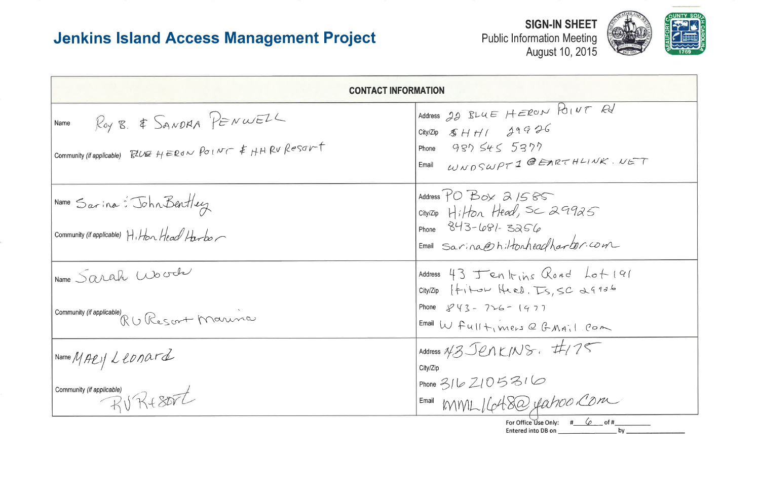|                                                                                                                  | <b>CONTACT INFORMATION</b>                                                                                                                                                  |
|------------------------------------------------------------------------------------------------------------------|-----------------------------------------------------------------------------------------------------------------------------------------------------------------------------|
| ROY B. & SANDAA PENWELL<br>Name<br>Community (if applicable) $RDE$ $HEBo \sim Po1$ $V$ $T = 1$ $HPC$ $Resor$ $T$ | Address $22$ BLUE HERON<br>City/Zip $$HH1 39975$<br>Phone 987 $545.5377$<br>$Email$ WNDSWPT1 @EAR                                                                           |
| Name Sarina: John Bentley<br>community (if applicable) Hiton Head Harbor                                         | Address $PO$ $B_{o} \times 21585$<br>$cityIZip$ Hilton Head, SC 2<br>Phone $843 - 681 - 3256$<br>Email Sarina@hiltonheadha                                                  |
| Name Sarah Wood<br>Community <i>(if applicable)</i><br>R ( ) Res croit Marina                                    | Address 43 Jenkins Clo,<br>$City/Zip$ $\left  \leftarrow \right\rangle$ $Heal$ , $\overline{L}$<br>Phone $843 - 726 - 1977$<br>Email $W$ $fu$ $H + v$ $m e r s$ $C$ $G$ $M$ |
| NameMAPU/Ltonard<br>Community (if applicable)<br>RURESOTT                                                        | Address N3 JenkINS. #<br>City/Zip<br>Phone 316 2105 316                                                                                                                     |



POINT Rd  $2THLIVK.UET$  $9925$  $arbar$ com  $A d$   $A o + 191$  $SCd4936$ vail com  $\frac{1}{125}$ OO COM For Office Use Only:  $\#$  6 of #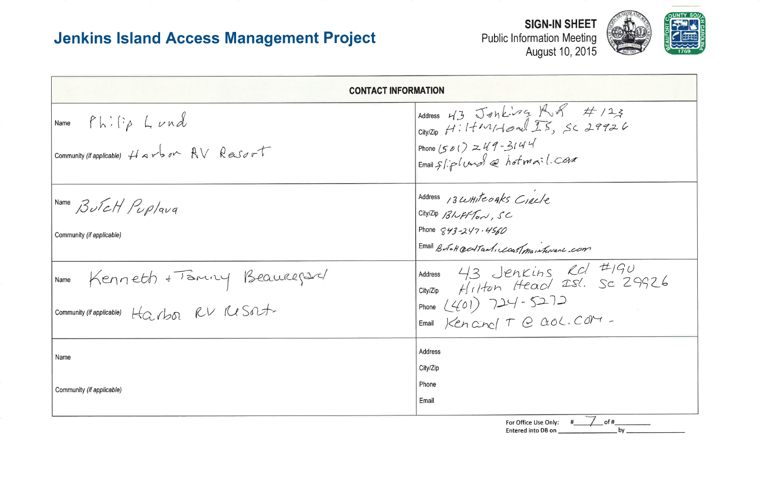| <b>Jenkins Island Access Management Project</b>                                                                                    | <b>SIGN-IN SHEET</b><br><b>Public Information Meeting</b><br>August 10, 2015                                                                                                                                                                                                                                   |
|------------------------------------------------------------------------------------------------------------------------------------|----------------------------------------------------------------------------------------------------------------------------------------------------------------------------------------------------------------------------------------------------------------------------------------------------------------|
|                                                                                                                                    | <b>CONTACT INFORMATION</b>                                                                                                                                                                                                                                                                                     |
| $\begin{vmatrix} Name & F & \vdots & \vdots & L & \nu & \nu \end{vmatrix}$<br>community <i>(if applicable)</i> Harbor $AV ResofrT$ | Address $43$ Janking $1/3$ $4/23$<br>City/Zip HiltMIdoral IS, Sc 29926<br>Phone (501) $249 - 3144$<br>Email știplund @ hotmail.Com                                                                                                                                                                             |
| Name ButcH Puplaud<br>Community (if applicable)                                                                                    | Address 13 WHITEOAKS CIRCLE<br>City/Zip Bluff Ton, SC<br>Phone $843 - 247.4560$<br>Email Butch oct Tant, cast maintenant com                                                                                                                                                                                   |
| INAME Kenneth + Taminy Beaureport<br>community (if applicable) Harbor RV Resout                                                    | Address $43$ Jenkins Rd #190<br>$\begin{array}{lll}\n\hline\n\text{city/Zip} & \#_{11}\text{/ten} & \text{Heac/} & \text{ISL} & \text{Sc} & \text{29926} \\ \text{Phone} & \text{L}(401) & \text{294 - S2.12} \\ \text{Enni} & \text{Kencino} & \text{T} & \text{Caol.} & \text{C0M -} \\ \hline\n\end{array}$ |
| Name<br>Community (if applicable)                                                                                                  | Address<br>City/Zip<br>Phone<br>Email                                                                                                                                                                                                                                                                          |
|                                                                                                                                    | of #<br>For Office Use Only:<br>Entered into DB on<br>bv                                                                                                                                                                                                                                                       |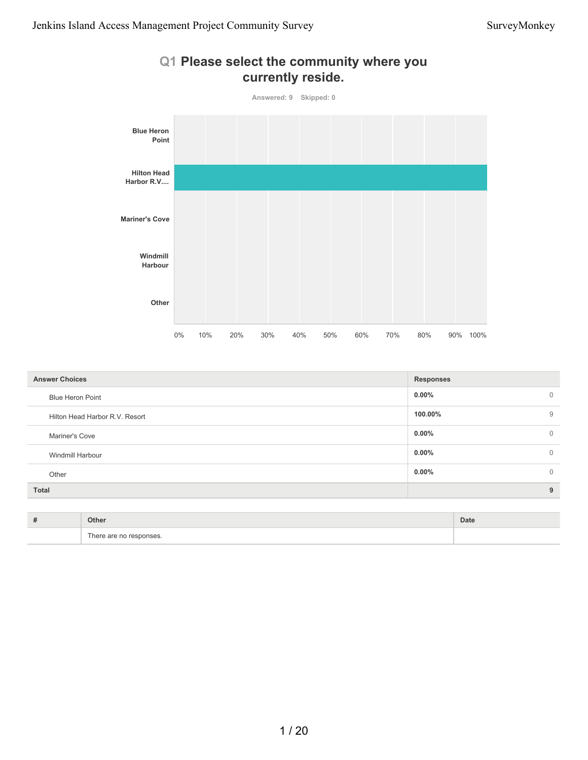

| <b>Answer Choices</b>          | <b>Responses</b> |                |
|--------------------------------|------------------|----------------|
| <b>Blue Heron Point</b>        | $0.00\%$         | $\overline{0}$ |
| Hilton Head Harbor R.V. Resort | 100.00%          | 9              |
| Mariner's Cove                 | $0.00\%$         | $\overline{0}$ |
| Windmill Harbour               | $0.00\%$         | $\mathbf 0$    |
| Other                          | $0.00\%$         | $\overline{0}$ |
| <b>Total</b>                   |                  | 9              |
|                                |                  |                |

| <br>ж | Other                                         | Date |
|-------|-----------------------------------------------|------|
|       | $\overline{\phantom{a}}$<br>her<br>nses.<br>. |      |

# **Q1 Please select the community where you**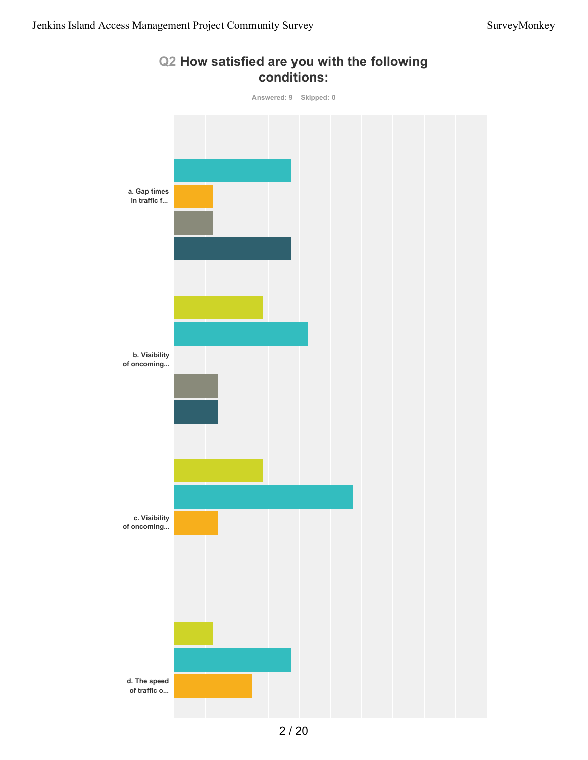

**Q2 How satisfied are you with the following conditions:**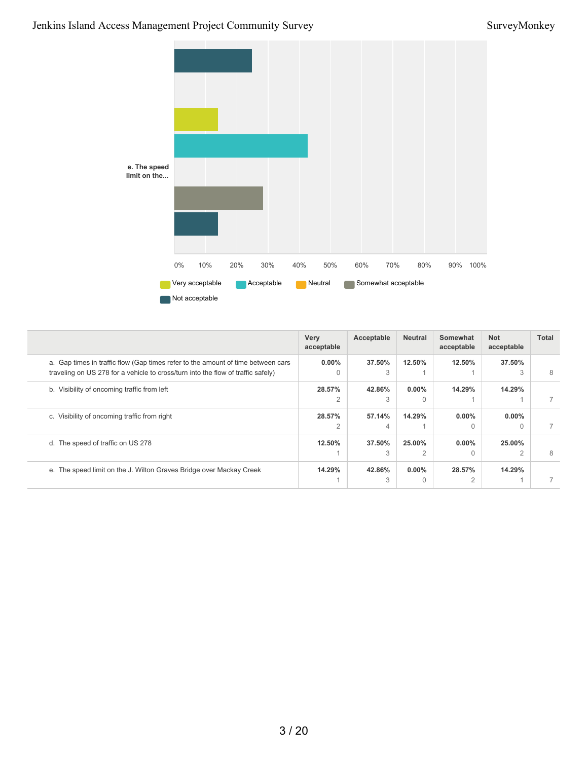#### Jenkins Island Access Management Project Community Survey SurveyMonkey



|                                                                                                                                                                      | Very<br>acceptable       | Acceptable  | <b>Neutral</b>        | Somewhat<br>acceptable | <b>Not</b><br>acceptable | Total |
|----------------------------------------------------------------------------------------------------------------------------------------------------------------------|--------------------------|-------------|-----------------------|------------------------|--------------------------|-------|
| a. Gap times in traffic flow (Gap times refer to the amount of time between cars<br>traveling on US 278 for a vehicle to cross/turn into the flow of traffic safely) | $0.00\%$<br>$\Omega$     | 37.50%<br>3 | 12.50%                | 12.50%                 | 37.50%<br>3              | 8     |
| b. Visibility of oncoming traffic from left                                                                                                                          | 28.57%                   | 42.86%<br>3 | $0.00\%$<br>$\bigcap$ | 14.29%                 | 14.29%                   |       |
| c. Visibility of oncoming traffic from right                                                                                                                         | 28.57%<br>$\overline{2}$ | 57.14%<br>4 | 14.29%                | $0.00\%$<br>$\Omega$   | $0.00\%$<br>$\Omega$     |       |
| d. The speed of traffic on US 278                                                                                                                                    | 12.50%                   | 37.50%<br>3 | 25.00%<br>2           | $0.00\%$<br>$\Omega$   | 25.00%<br>$\overline{2}$ |       |
| e. The speed limit on the J. Wilton Graves Bridge over Mackay Creek                                                                                                  | 14.29%                   | 42.86%<br>3 | $0.00\%$<br>$\Omega$  | 28.57%<br>2            | 14.29%                   |       |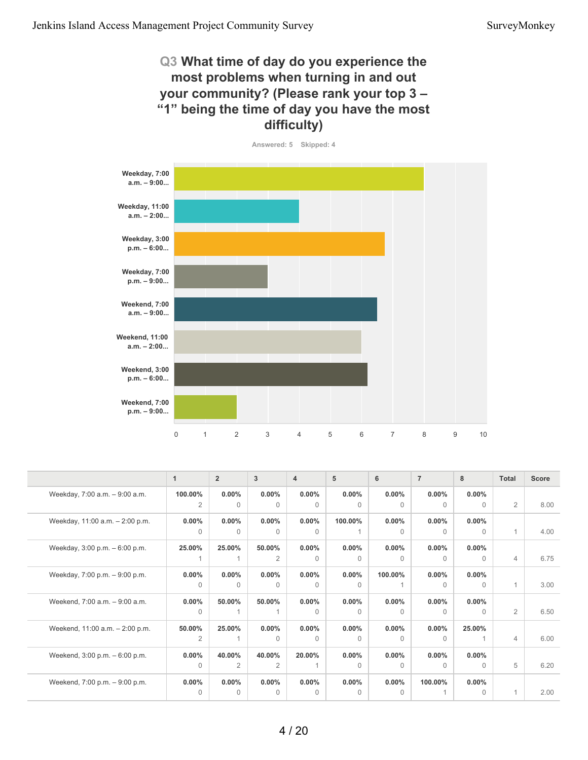#### **Q3 What time of day do you experience the most problems when turning in and out your community? (Please rank your top 3 – "1" being the time of day you have the most difficulty)**

![](_page_10_Figure_3.jpeg)

|                                 | $\mathbf{1}$ | $\overline{2}$ | 3              | $\overline{4}$ | 5        | 6        | $\overline{7}$ | 8        | Total          | <b>Score</b> |
|---------------------------------|--------------|----------------|----------------|----------------|----------|----------|----------------|----------|----------------|--------------|
| Weekday, 7:00 a.m. - 9:00 a.m.  | 100.00%      | $0.00\%$       | 0.00%          | $0.00\%$       | $0.00\%$ | $0.00\%$ | $0.00\%$       | $0.00\%$ |                |              |
|                                 | 2            | $\Omega$       | $\Omega$       | $\Omega$       | $\Omega$ | $\Omega$ | $\Omega$       | $\Omega$ | 2              | 8.00         |
| Weekday, 11:00 a.m. - 2:00 p.m. | $0.00\%$     | $0.00\%$       | 0.00%          | $0.00\%$       | 100.00%  | $0.00\%$ | $0.00\%$       | $0.00\%$ |                |              |
|                                 | $\Omega$     | $\Omega$       | $\Omega$       | 0              |          | $\Omega$ | $\Omega$       | $\Omega$ | $\mathbf{1}$   | 4.00         |
| Weekday, 3:00 p.m. - 6:00 p.m.  | 25.00%       | 25.00%         | 50.00%         | $0.00\%$       | $0.00\%$ | $0.00\%$ | $0.00\%$       | $0.00\%$ |                |              |
|                                 |              |                | $\overline{2}$ | $\Omega$       | $\Omega$ | $\Omega$ | 0              | $\Omega$ | $\overline{4}$ | 6.75         |
| Weekday, 7:00 p.m. - 9:00 p.m.  | $0.00\%$     | $0.00\%$       | 0.00%          | $0.00\%$       | $0.00\%$ | 100.00%  | $0.00\%$       | $0.00\%$ |                |              |
|                                 | $\Omega$     | $\Omega$       | $\Omega$       | $\Omega$       | $\Omega$ |          | $\Omega$       | $\Omega$ | $\overline{1}$ | 3.00         |
| Weekend, 7:00 a.m. - 9:00 a.m.  | $0.00\%$     | 50.00%         | 50.00%         | $0.00\%$       | $0.00\%$ | $0.00\%$ | $0.00\%$       | $0.00\%$ |                |              |
|                                 | $\Omega$     |                |                | $\Omega$       | $\Omega$ | $\Omega$ | $\Omega$       | $\Omega$ | 2              | 6.50         |
| Weekend, 11:00 a.m. - 2:00 p.m. | 50.00%       | 25.00%         | 0.00%          | $0.00\%$       | $0.00\%$ | $0.00\%$ | $0.00\%$       | 25.00%   |                |              |
|                                 | 2            |                | $\Omega$       | 0              | $\Omega$ | $\Omega$ | $\Omega$       |          | $\overline{4}$ | 6.00         |
| Weekend, 3:00 p.m. - 6:00 p.m.  | $0.00\%$     | 40.00%         | 40.00%         | 20.00%         | $0.00\%$ | $0.00\%$ | $0.00\%$       | $0.00\%$ |                |              |
|                                 | $\Omega$     | 2              | 2              |                | $\Omega$ | $\Omega$ | 0              | $\Omega$ | 5              | 6.20         |
| Weekend, 7:00 p.m. - 9:00 p.m.  | 0.00%        | $0.00\%$       | 0.00%          | $0.00\%$       | $0.00\%$ | $0.00\%$ | 100.00%        | $0.00\%$ |                |              |
|                                 | $\Omega$     | $\Omega$       | $\Omega$       | $\Omega$       | $\Omega$ | $\Omega$ |                | $\Omega$ | 1              | 2.00         |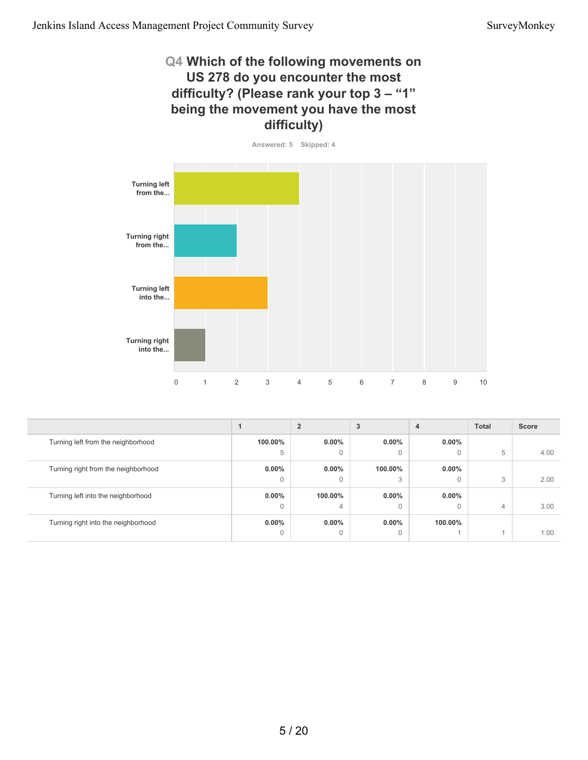#### **Q4 Which of the following movements on US 278 do you encounter the most difficulty? (Please rank your top 3 – "1" being the movement you have the most difficulty)**

![](_page_11_Figure_3.jpeg)

![](_page_11_Figure_4.jpeg)

|                                     |              |              | 3        | 4        | <b>Total</b> | <b>Score</b> |
|-------------------------------------|--------------|--------------|----------|----------|--------------|--------------|
| Turning left from the neighborhood  | 100.00%      | $0.00\%$     | $0.00\%$ | $0.00\%$ |              |              |
|                                     | 5            | $\mathbf{0}$ | 0        | $\Omega$ | 5            | 4.00         |
| Turning right from the neighborhood | $0.00\%$     | $0.00\%$     | 100.00%  | $0.00\%$ |              |              |
|                                     | $\Omega$     | $\mathbf{0}$ | 3        | $\Omega$ | 3            | 2.00         |
| Turning left into the neighborhood  | $0.00\%$     | 100.00%      | $0.00\%$ | $0.00\%$ |              |              |
|                                     | 0            | 4            | 0        | $\Omega$ | 4            | 3.00         |
| Turning right into the neighborhood | $0.00\%$     | $0.00\%$     | $0.00\%$ | 100.00%  |              |              |
|                                     | $\mathbf{0}$ | $\mathbf{0}$ | 0        |          |              | 1.00         |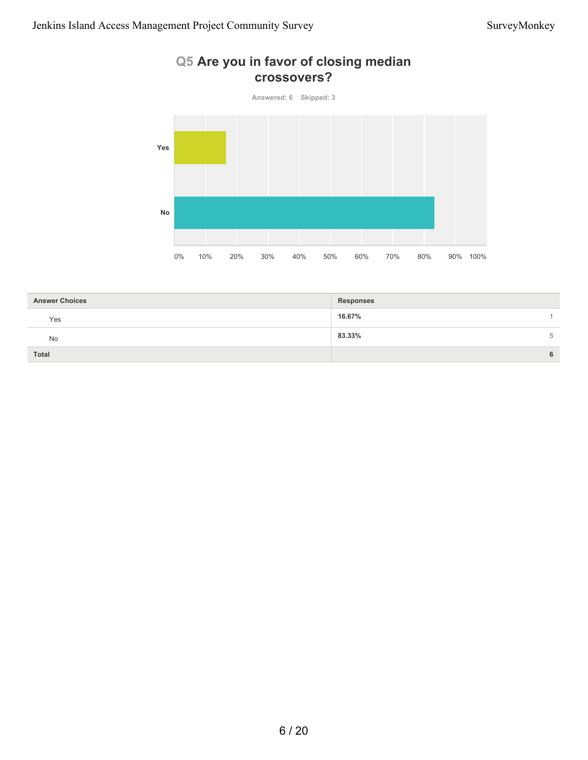#### **Q5 Are you in favor of closing median crossovers?**

**Answered: 6 Skipped: 3 Yes No** 0% 10% 20% 30% 40% 50% 60% 70% 80% 90% 100%

| <b>Answer Choices</b> | <b>Responses</b> |
|-----------------------|------------------|
| Yes                   | 16.67%           |
| No                    | 83.33%           |
| <b>Total</b>          | 6                |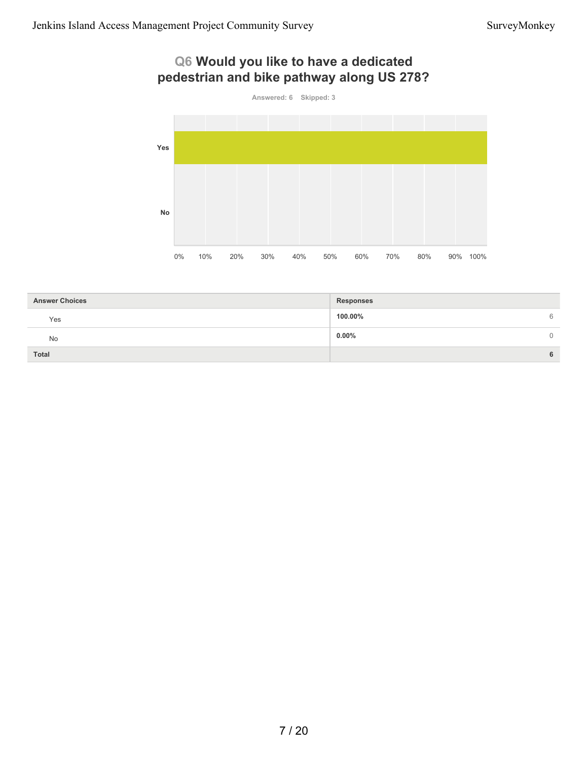### **Q6 Would you like to have a dedicated pedestrian and bike pathway along US 278?**

![](_page_13_Figure_3.jpeg)

| <b>Answer Choices</b> | <b>Responses</b> |   |
|-----------------------|------------------|---|
| Yes                   | 100.00%          | 6 |
| <b>No</b>             | $0.00\%$         | 0 |
| Total                 |                  | 6 |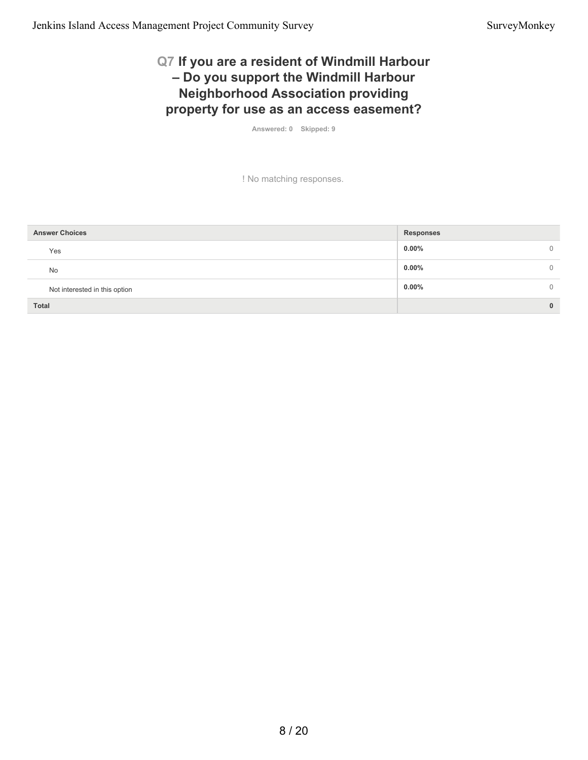#### **Q7 If you are a resident of Windmill Harbour – Do you support the Windmill Harbour Neighborhood Association providing property for use as an access easement?**

**Answered: 0 Skipped: 9**

! No matching responses.

| <b>Answer Choices</b>         | <b>Responses</b>   |
|-------------------------------|--------------------|
| Yes                           | $0.00\%$<br>$\cup$ |
| No                            | $0.00\%$           |
| Not interested in this option | $0.00\%$           |
| <b>Total</b>                  | $\bf{0}$           |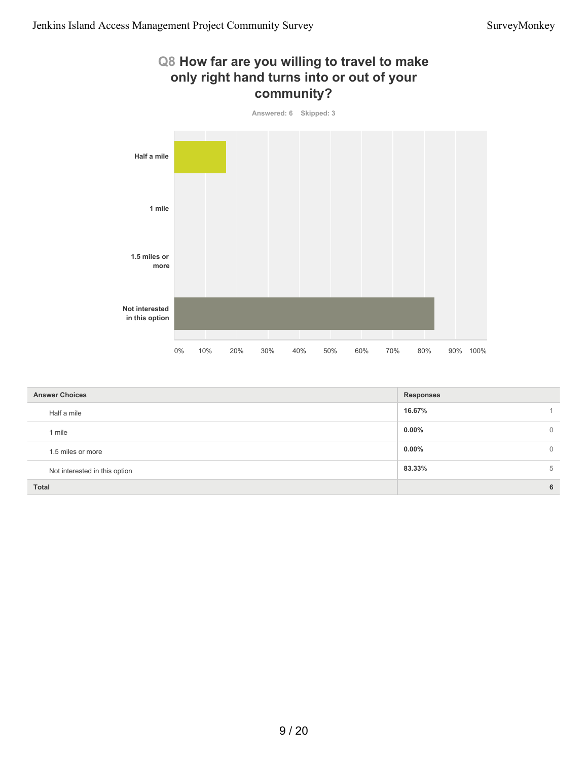#### **Q8 How far are you willing to travel to make only right hand turns into or out of your community?**

![](_page_15_Figure_3.jpeg)

| <b>Answer Choices</b>         | <b>Responses</b> |          |  |  |  |
|-------------------------------|------------------|----------|--|--|--|
| Half a mile                   | 16.67%           |          |  |  |  |
| 1 mile                        | $0.00\%$         | $\Omega$ |  |  |  |
| 1.5 miles or more             | $0.00\%$         | 0        |  |  |  |
| Not interested in this option | 83.33%           | 5        |  |  |  |
| <b>Total</b>                  |                  | 6        |  |  |  |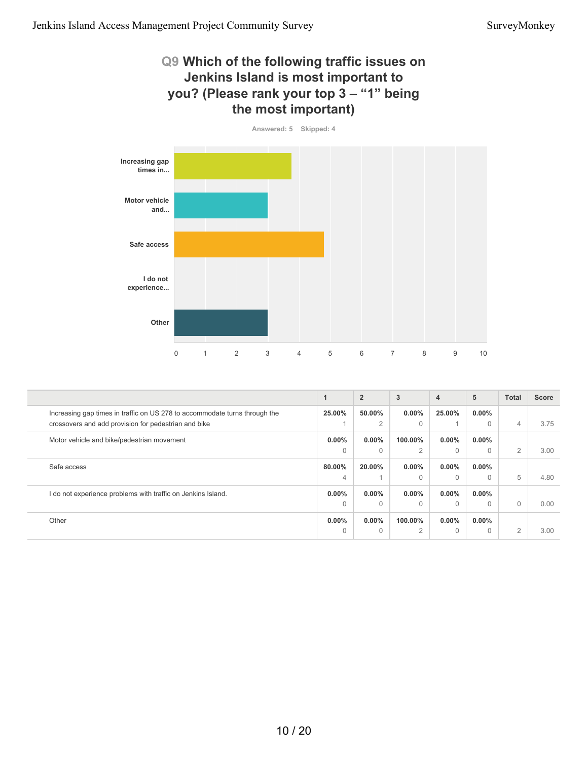#### **Q9 Which of the following traffic issues on Jenkins Island is most important to you? (Please rank your top 3 – "1" being the most important)**

![](_page_16_Figure_3.jpeg)

|                                                                            |          | $\overline{2}$ | 3              | $\overline{4}$ | 5        | <b>Total</b>   | <b>Score</b> |
|----------------------------------------------------------------------------|----------|----------------|----------------|----------------|----------|----------------|--------------|
| Increasing gap times in traffic on US 278 to accommodate turns through the | 25.00%   | 50.00%         | $0.00\%$       | 25.00%         | $0.00\%$ |                |              |
| crossovers and add provision for pedestrian and bike                       |          | 2              | $\Omega$       |                |          | $\overline{4}$ | 3.75         |
| Motor vehicle and bike/pedestrian movement                                 | $0.00\%$ | $0.00\%$       | 100.00%        | $0.00\%$       | $0.00\%$ |                |              |
|                                                                            | $\Omega$ | $\Omega$       | $\overline{2}$ | $\Omega$       |          | 2              | 3.00         |
| Safe access                                                                | 80.00%   | 20.00%         | $0.00\%$       | $0.00\%$       | $0.00\%$ |                |              |
|                                                                            | 4        |                | $\Omega$       | $\Omega$       |          | 5              | 4.80         |
| I do not experience problems with traffic on Jenkins Island.               | $0.00\%$ | $0.00\%$       | $0.00\%$       | $0.00\%$       | $0.00\%$ |                |              |
|                                                                            | $\Omega$ | $\Omega$       | $\Omega$       | $\Omega$       |          | $\Omega$       | 0.00         |
| Other                                                                      | $0.00\%$ | $0.00\%$       | 100.00%        | $0.00\%$       | $0.00\%$ |                |              |
|                                                                            | $\Omega$ | $\Omega$       | 2              | $\Omega$       |          | $\overline{2}$ | 3.00         |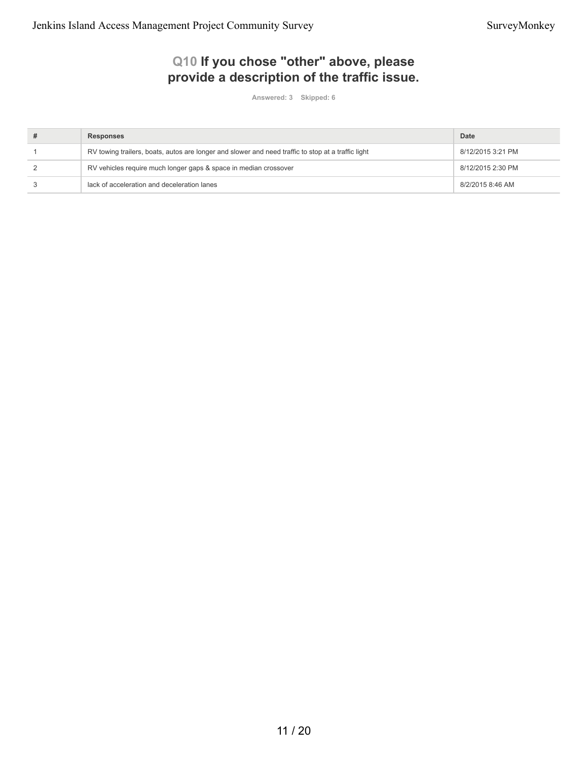### **Q10 If you chose "other" above, please provide a description of the traffic issue.**

**Answered: 3 Skipped: 6**

| <b>Responses</b>                                                                                   | Date              |
|----------------------------------------------------------------------------------------------------|-------------------|
| RV towing trailers, boats, autos are longer and slower and need traffic to stop at a traffic light | 8/12/2015 3:21 PM |
| RV vehicles require much longer gaps & space in median crossover                                   | 8/12/2015 2:30 PM |
| lack of acceleration and deceleration lanes                                                        | 8/2/2015 8:46 AM  |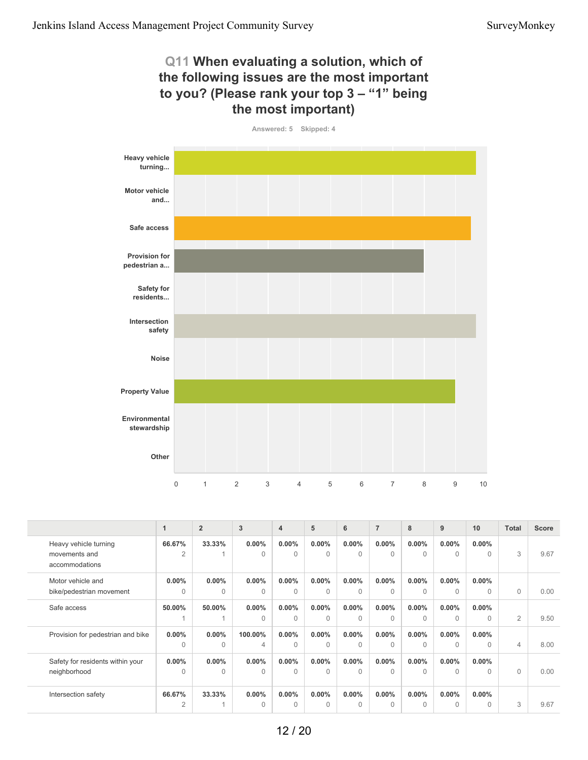#### **Q11 When evaluating a solution, which of the following issues are the most important to you? (Please rank your top 3 – "1" being the most important)**

![](_page_18_Figure_3.jpeg)

|                                                          |                          | $\overline{2}$       | 3                 | $\overline{4}$       | 5                    | 6                    | $\overline{7}$       | 8                    | 9                     | 10                   | <b>Total</b>   | <b>Score</b> |
|----------------------------------------------------------|--------------------------|----------------------|-------------------|----------------------|----------------------|----------------------|----------------------|----------------------|-----------------------|----------------------|----------------|--------------|
| Heavy vehicle turning<br>movements and<br>accommodations | 66.67%<br>$\overline{2}$ | 33.33%               | 0.00%<br>$\Omega$ | $0.00\%$<br>$\Omega$ | $0.00\%$<br>$\Omega$ | $0.00\%$<br>$\Omega$ | $0.00\%$<br>$\Omega$ | $0.00\%$<br>$\Omega$ | $0.00\%$<br>$\Omega$  | $0.00\%$<br>$\Omega$ | 3              | 9.67         |
| Motor vehicle and<br>bike/pedestrian movement            | $0.00\%$<br>$\Omega$     | $0.00\%$<br>$\Omega$ | 0.00%<br>$\Omega$ | $0.00\%$<br>0        | $0.00\%$<br>$\Omega$ | $0.00\%$<br>$\Omega$ | $0.00\%$<br>$\Omega$ | $0.00\%$<br>$\Omega$ | $0.00\%$<br>$\bigcap$ | $0.00\%$<br>$\Omega$ | $\Omega$       | 0.00         |
| Safe access                                              | 50.00%                   | 50.00%               | 0.00%<br>$\Omega$ | $0.00\%$<br>$\Omega$ | $0.00\%$<br>$\Omega$ | $0.00\%$<br>$\Omega$ | $0.00\%$<br>$\Omega$ | $0.00\%$<br>$\Omega$ | $0.00\%$<br>$\Omega$  | $0.00\%$<br>$\Omega$ | 2              | 9.50         |
| Provision for pedestrian and bike                        | $0.00\%$<br>$\Omega$     | $0.00\%$<br>$\Omega$ | 100.00%<br>4      | $0.00\%$<br>$\Omega$ | $0.00\%$<br>$\Omega$ | $0.00\%$<br>$\Omega$ | $0.00\%$<br>$\Omega$ | $0.00\%$<br>$\Omega$ | $0.00\%$<br>$\Omega$  | $0.00\%$<br>$\Omega$ | $\overline{4}$ | 8.00         |
| Safety for residents within your<br>neighborhood         | $0.00\%$<br>$\Omega$     | $0.00\%$<br>$\Omega$ | 0.00%<br>$\Omega$ | $0.00\%$<br>$\Omega$ | $0.00\%$<br>$\Omega$ | $0.00\%$<br>$\Omega$ | $0.00\%$<br>$\Omega$ | $0.00\%$<br>$\Omega$ | $0.00\%$<br>$\bigcap$ | $0.00\%$<br>$\Omega$ | $\Omega$       | 0.00         |
| Intersection safety                                      | 66.67%<br>$\overline{2}$ | 33.33%               | 0.00%<br>$\Omega$ | $0.00\%$<br>$\Omega$ | $0.00\%$<br>$\Omega$ | $0.00\%$<br>$\Omega$ | $0.00\%$<br>$\Omega$ | $0.00\%$<br>$\Omega$ | $0.00\%$<br>$\bigcap$ | $0.00\%$<br>$\Omega$ | 3              | 9.67         |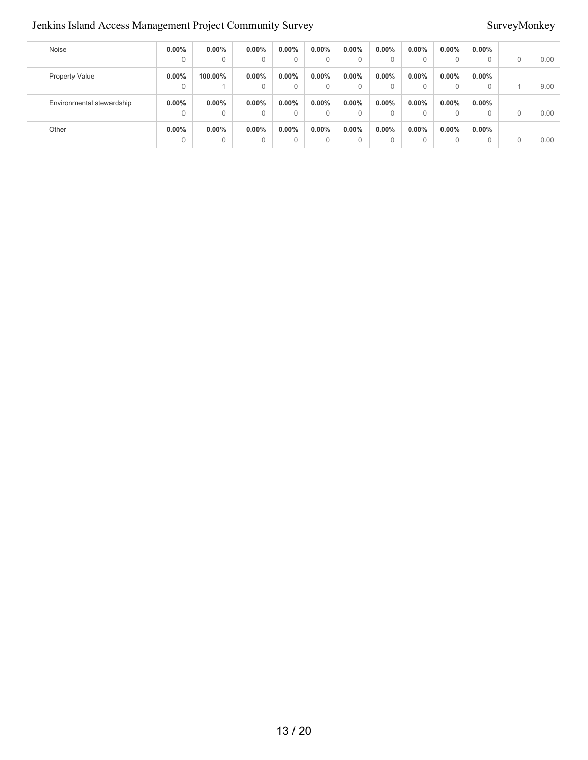#### Jenkins Island Access Management Project Community Survey Survey Survey Survey Survey Survey Survey Survey Survey

| Noise                     | $0.00\%$ | $0.00\%$ | $0.00\%$ | 0.00% | $0.00\%$ | $0.00\%$ | $0.00\%$ | $0.00\%$ | $0.00\%$ | $0.00\%$ |   |      |
|---------------------------|----------|----------|----------|-------|----------|----------|----------|----------|----------|----------|---|------|
|                           | $\Omega$ | $\Omega$ | 0        |       | 0        | 0        | 0        |          | $\Omega$ | 0        | C | 0.00 |
| <b>Property Value</b>     | $0.00\%$ | 100.00%  | $0.00\%$ | 0.00% | $0.00\%$ | $0.00\%$ | $0.00\%$ | $0.00\%$ | $0.00\%$ | $0.00\%$ |   |      |
|                           | 0        |          | 0        |       | 0        | 0        | 0        |          | $\Omega$ | $\Omega$ |   | 9.00 |
| Environmental stewardship | $0.00\%$ | $0.00\%$ | $0.00\%$ | 0.00% | $0.00\%$ | $0.00\%$ | $0.00\%$ | $0.00\%$ | $0.00\%$ | $0.00\%$ |   |      |
|                           | $\Omega$ | 0        | $\Omega$ |       | 0        | $\Omega$ | 0        |          | $\Omega$ | 0        |   | 0.00 |
| Other                     | $0.00\%$ | 0.00%    | $0.00\%$ | 0.00% | $0.00\%$ | $0.00\%$ | $0.00\%$ | $0.00\%$ | $0.00\%$ | $0.00\%$ |   |      |
|                           | $\Omega$ | $\Omega$ | 0        | 0     | 0        | 0        | 0        |          | $\Omega$ | $\Omega$ |   | 0.00 |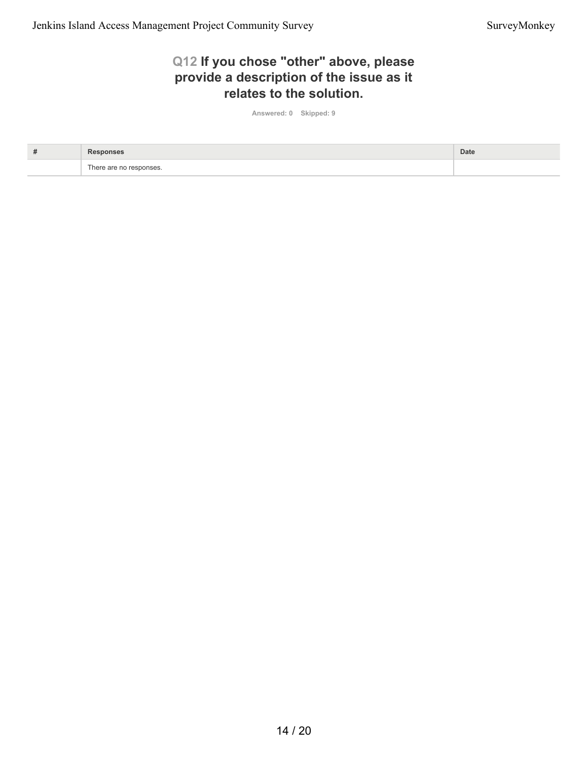### **Q12 If you chose "other" above, please provide a description of the issue as it relates to the solution.**

**Answered: 0 Skipped: 9**

| # |                         | Date |
|---|-------------------------|------|
|   | There are no responses. |      |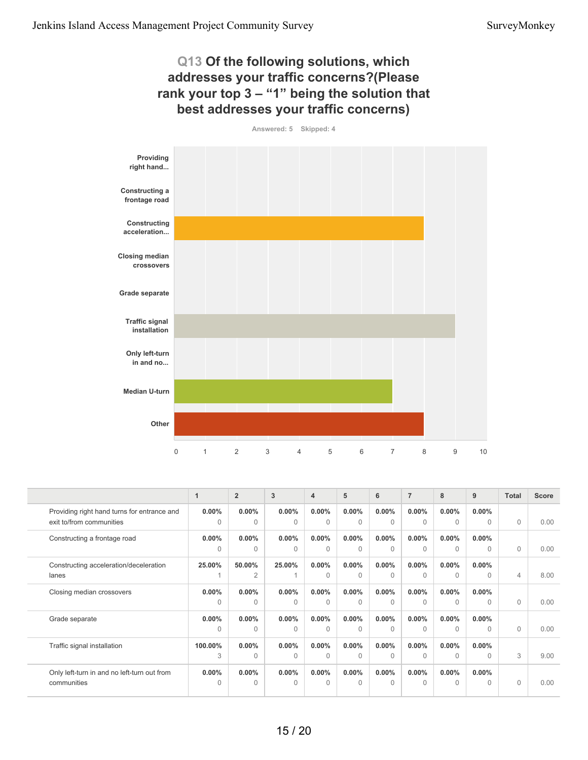#### **Q13 Of the following solutions, which addresses your traffic concerns?(Please rank your top 3 – "1" being the solution that best addresses your traffic concerns)**

![](_page_21_Figure_3.jpeg)

![](_page_21_Figure_4.jpeg)

|                                             | 1        | $\overline{2}$ | $\overline{3}$ | $\overline{4}$ | 5        | 6        | $\overline{7}$ | 8        | 9        | <b>Total</b> | <b>Score</b> |
|---------------------------------------------|----------|----------------|----------------|----------------|----------|----------|----------------|----------|----------|--------------|--------------|
| Providing right hand turns for entrance and | $0.00\%$ | $0.00\%$       | $0.00\%$       | $0.00\%$       | $0.00\%$ | $0.00\%$ | $0.00\%$       | $0.00\%$ | $0.00\%$ |              |              |
| exit to/from communities                    | $\Omega$ | $\Omega$       | $\Omega$       | $\Omega$       | $\Omega$ | $\Omega$ | $\mathbf{0}$   | $\Omega$ | $\Omega$ | $\Omega$     | 0.00         |
| Constructing a frontage road                | $0.00\%$ | $0.00\%$       | $0.00\%$       | $0.00\%$       | $0.00\%$ | $0.00\%$ | $0.00\%$       | $0.00\%$ | $0.00\%$ |              |              |
|                                             | $\Omega$ | $\Omega$       | $\Omega$       | $\Omega$       | $\Omega$ | $\Omega$ | $\Omega$       | $\Omega$ | $\Omega$ | $\Omega$     | 0.00         |
| Constructing acceleration/deceleration      | 25.00%   | 50.00%         | 25.00%         | $0.00\%$       | $0.00\%$ | $0.00\%$ | $0.00\%$       | $0.00\%$ | $0.00\%$ |              |              |
| lanes                                       |          | $\overline{2}$ |                | $\Omega$       | $\Omega$ | $\Omega$ | $\Omega$       | $\Omega$ | $\Omega$ | 4            | 8.00         |
| Closing median crossovers                   | $0.00\%$ | $0.00\%$       | $0.00\%$       | $0.00\%$       | $0.00\%$ | $0.00\%$ | $0.00\%$       | $0.00\%$ | $0.00\%$ |              |              |
|                                             | $\Omega$ | $\Omega$       | $\Omega$       | $\Omega$       | $\Omega$ | $\Omega$ | $\Omega$       | $\Omega$ | $\Omega$ | $\Omega$     | 0.00         |
| Grade separate                              | $0.00\%$ | $0.00\%$       | $0.00\%$       | $0.00\%$       | $0.00\%$ | $0.00\%$ | $0.00\%$       | $0.00\%$ | $0.00\%$ |              |              |
|                                             | $\Omega$ | $\Omega$       | $\Omega$       | $\Omega$       | $\Omega$ | $\Omega$ | $\Omega$       | $\Omega$ | $\cap$   | $\Omega$     | 0.00         |
| Traffic signal installation                 | 100.00%  | $0.00\%$       | $0.00\%$       | $0.00\%$       | $0.00\%$ | $0.00\%$ | $0.00\%$       | $0.00\%$ | $0.00\%$ |              |              |
|                                             | 3        | $\Omega$       | $\Omega$       | $\Omega$       | $\Omega$ | $\Omega$ | $\Omega$       | $\Omega$ | $\Omega$ | 3            | 9.00         |
| Only left-turn in and no left-turn out from | $0.00\%$ | $0.00\%$       | $0.00\%$       | $0.00\%$       | $0.00\%$ | $0.00\%$ | $0.00\%$       | $0.00\%$ | $0.00\%$ |              |              |
| communities                                 | $\Omega$ | $\Omega$       | $\Omega$       | $\Omega$       | $\Omega$ | $\Omega$ | $\Omega$       | $\Omega$ | $\Omega$ | $\Omega$     | 0.00         |
|                                             |          |                |                |                |          |          |                |          |          |              |              |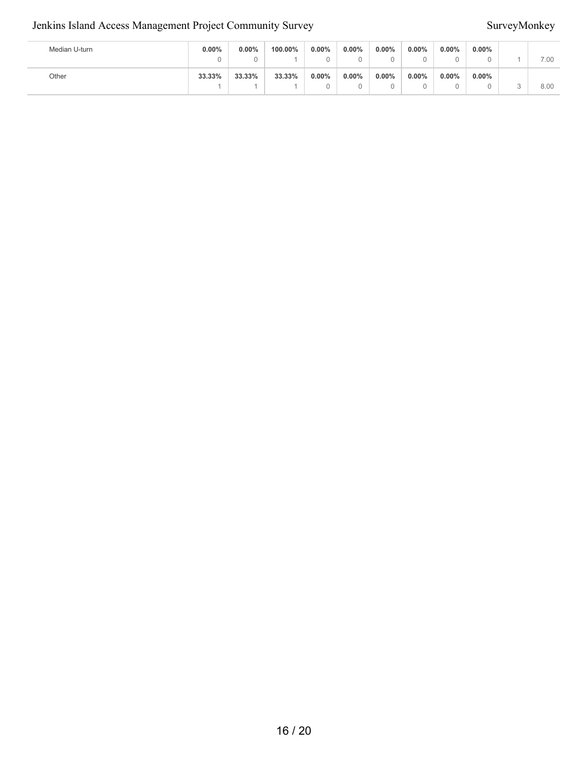#### Jenkins Island Access Management Project Community Survey SurveyMonkey

| Median U-turn | $0.00\%$ | 0.00%  | 100.00% | 0.00%    | $0.00\%$ | $0.00\%$ | $0.00\%$      | $0.00\%$<br>u | $0.00\%$ | 7.00 |
|---------------|----------|--------|---------|----------|----------|----------|---------------|---------------|----------|------|
| Other         | 33.33%   | 33.33% | 33.33%  | $0.00\%$ | $0.00\%$ | $0.00\%$ | $0.00\%$<br>ບ | $0.00\%$<br>u | $0.00\%$ | 8.00 |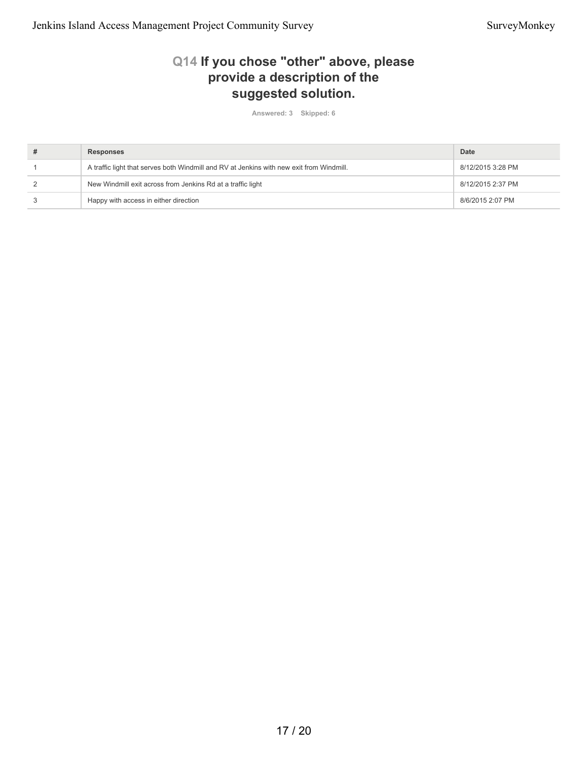#### **Q14 If you chose "other" above, please provide a description of the suggested solution.**

**Answered: 3 Skipped: 6**

| # | <b>Responses</b>                                                                         | Date              |
|---|------------------------------------------------------------------------------------------|-------------------|
|   | A traffic light that serves both Windmill and RV at Jenkins with new exit from Windmill. | 8/12/2015 3:28 PM |
|   | New Windmill exit across from Jenkins Rd at a traffic light                              | 8/12/2015 2:37 PM |
|   | Happy with access in either direction                                                    | 8/6/2015 2:07 PM  |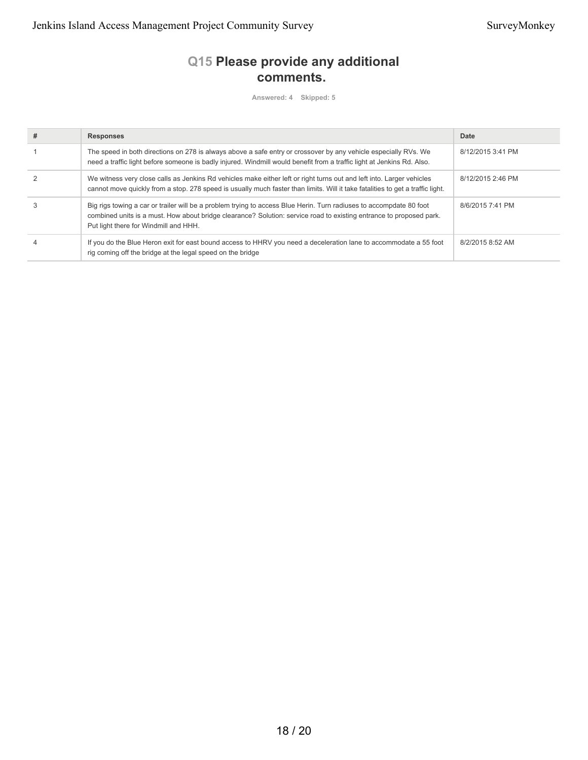### **Q15 Please provide any additional comments.**

**Answered: 4 Skipped: 5**

| # | <b>Responses</b>                                                                                                                                                                                                                                                                    | Date              |
|---|-------------------------------------------------------------------------------------------------------------------------------------------------------------------------------------------------------------------------------------------------------------------------------------|-------------------|
|   | The speed in both directions on 278 is always above a safe entry or crossover by any vehicle especially RVs. We<br>need a traffic light before someone is badly injured. Windmill would benefit from a traffic light at Jenkins Rd. Also.                                           | 8/12/2015 3:41 PM |
|   | We witness very close calls as Jenkins Rd vehicles make either left or right turns out and left into. Larger vehicles<br>cannot move quickly from a stop. 278 speed is usually much faster than limits. Will it take fatalities to get a traffic light.                             | 8/12/2015 2:46 PM |
|   | Big rigs towing a car or trailer will be a problem trying to access Blue Herin. Turn radiuses to accompdate 80 foot<br>combined units is a must. How about bridge clearance? Solution: service road to existing entrance to proposed park.<br>Put light there for Windmill and HHH. | 8/6/2015 7:41 PM  |
|   | If you do the Blue Heron exit for east bound access to HHRV you need a deceleration lane to accommodate a 55 foot<br>rig coming off the bridge at the legal speed on the bridge                                                                                                     | 8/2/2015 8:52 AM  |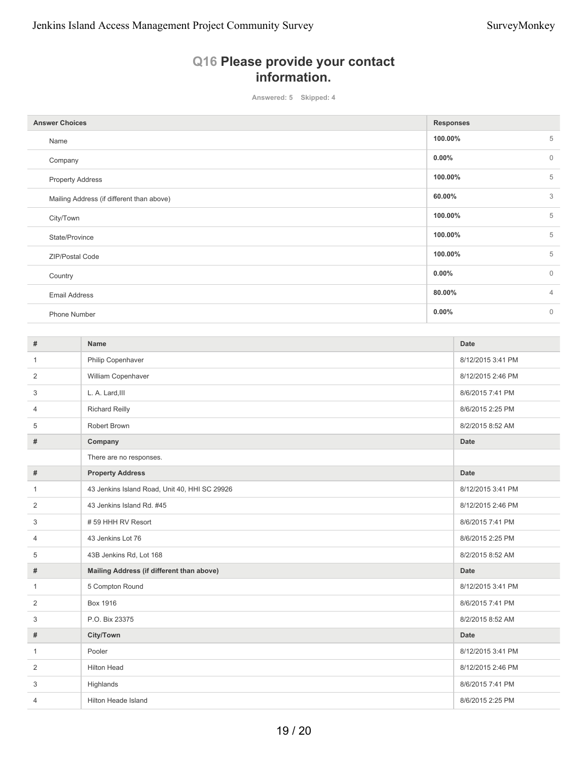#### **Q16 Please provide your contact information.**

**Answered: 5 Skipped: 4**

| <b>Answer Choices</b>                     | <b>Responses</b> |                |
|-------------------------------------------|------------------|----------------|
| Name                                      | 100.00%          | 5              |
| Company                                   | $0.00\%$         | $\mathbf 0$    |
| <b>Property Address</b>                   | 100.00%          | 5              |
| Mailing Address (if different than above) | 60.00%           | 3              |
| City/Town                                 | 100.00%          | 5              |
| State/Province                            | 100.00%          | 5              |
| ZIP/Postal Code                           | 100.00%          | 5              |
| Country                                   | $0.00\%$         | $\mathbf{0}$   |
| <b>Email Address</b>                      | 80.00%           | $\overline{4}$ |
| Phone Number                              | $0.00\%$         | $\mathbf{0}$   |

| #              | <b>Name</b>                                   | <b>Date</b>       |
|----------------|-----------------------------------------------|-------------------|
| $\mathbf{1}$   | Philip Copenhaver                             | 8/12/2015 3:41 PM |
| 2              | William Copenhaver                            | 8/12/2015 2:46 PM |
| 3              | L. A. Lard, III                               | 8/6/2015 7:41 PM  |
| $\overline{4}$ | <b>Richard Reilly</b>                         | 8/6/2015 2:25 PM  |
| 5              | Robert Brown                                  | 8/2/2015 8:52 AM  |
| #              | Company                                       | <b>Date</b>       |
|                | There are no responses.                       |                   |
| #              | <b>Property Address</b>                       | <b>Date</b>       |
| $\mathbf{1}$   | 43 Jenkins Island Road, Unit 40, HHI SC 29926 | 8/12/2015 3:41 PM |
| 2              | 43 Jenkins Island Rd. #45                     | 8/12/2015 2:46 PM |
| 3              | #59 HHH RV Resort                             | 8/6/2015 7:41 PM  |
| $\overline{4}$ | 43 Jenkins Lot 76                             | 8/6/2015 2:25 PM  |
| 5              | 43B Jenkins Rd, Lot 168                       | 8/2/2015 8:52 AM  |
| #              | Mailing Address (if different than above)     | <b>Date</b>       |
| $\mathbf{1}$   | 5 Compton Round                               | 8/12/2015 3:41 PM |
| 2              | <b>Box 1916</b>                               | 8/6/2015 7:41 PM  |
| 3              | P.O. Bix 23375                                | 8/2/2015 8:52 AM  |
| #              | City/Town                                     | <b>Date</b>       |
| $\mathbf{1}$   | Pooler                                        | 8/12/2015 3:41 PM |
| 2              | <b>Hilton Head</b>                            | 8/12/2015 2:46 PM |
| 3              | Highlands                                     | 8/6/2015 7:41 PM  |
| $\overline{4}$ | <b>Hilton Heade Island</b>                    | 8/6/2015 2:25 PM  |